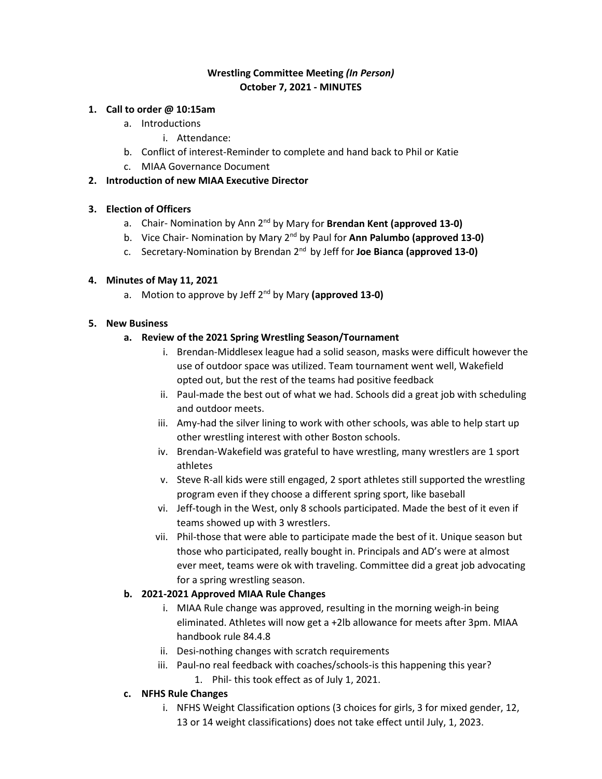## **Wrestling Committee Meeting** *(In Person)* **October 7, 2021 - MINUTES**

### **1. Call to order @ 10:15am**

- a. Introductions
	- i. Attendance:
- b. Conflict of interest-Reminder to complete and hand back to Phil or Katie
- c. MIAA Governance Document

### **2. Introduction of new MIAA Executive Director**

### **3. Election of Officers**

- a. Chair- Nomination by Ann 2nd by Mary for **Brendan Kent (approved 13-0)**
- b. Vice Chair- Nomination by Mary 2nd by Paul for **Ann Palumbo (approved 13-0)**
- c. Secretary-Nomination by Brendan 2nd by Jeff for **Joe Bianca (approved 13-0)**

### **4. Minutes of May 11, 2021**

a. Motion to approve by Jeff 2nd by Mary **(approved 13-0)**

### **5. New Business**

### **a. Review of the 2021 Spring Wrestling Season/Tournament**

- i. Brendan-Middlesex league had a solid season, masks were difficult however the use of outdoor space was utilized. Team tournament went well, Wakefield opted out, but the rest of the teams had positive feedback
- ii. Paul-made the best out of what we had. Schools did a great job with scheduling and outdoor meets.
- iii. Amy-had the silver lining to work with other schools, was able to help start up other wrestling interest with other Boston schools.
- iv. Brendan-Wakefield was grateful to have wrestling, many wrestlers are 1 sport athletes
- v. Steve R-all kids were still engaged, 2 sport athletes still supported the wrestling program even if they choose a different spring sport, like baseball
- vi. Jeff-tough in the West, only 8 schools participated. Made the best of it even if teams showed up with 3 wrestlers.
- vii. Phil-those that were able to participate made the best of it. Unique season but those who participated, really bought in. Principals and AD's were at almost ever meet, teams were ok with traveling. Committee did a great job advocating for a spring wrestling season.

## **b. 2021-2021 Approved MIAA Rule Changes**

- i. MIAA Rule change was approved, resulting in the morning weigh-in being eliminated. Athletes will now get a +2lb allowance for meets after 3pm. MIAA handbook rule 84.4.8
- ii. Desi-nothing changes with scratch requirements
- iii. Paul-no real feedback with coaches/schools-is this happening this year?
	- 1. Phil- this took effect as of July 1, 2021.

#### **c. NFHS Rule Changes**

i. NFHS Weight Classification options (3 choices for girls, 3 for mixed gender, 12, 13 or 14 weight classifications) does not take effect until July, 1, 2023.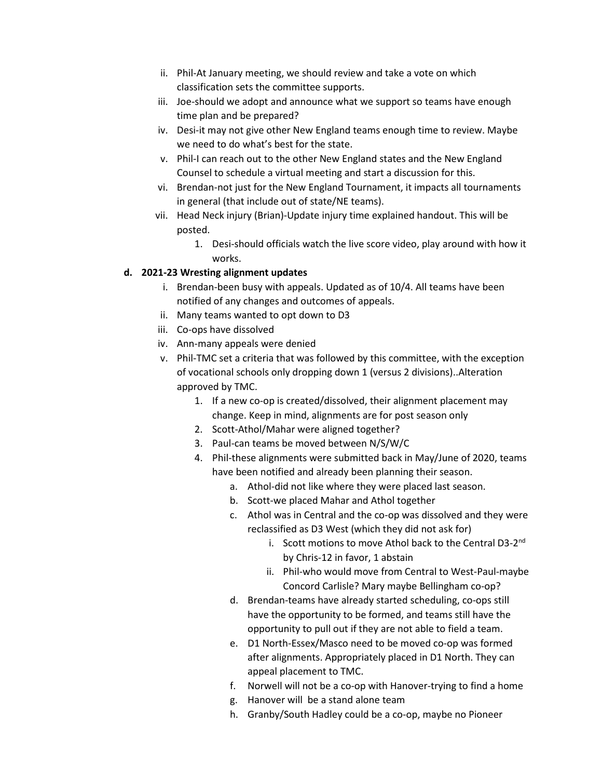- ii. Phil-At January meeting, we should review and take a vote on which classification sets the committee supports.
- iii. Joe-should we adopt and announce what we support so teams have enough time plan and be prepared?
- iv. Desi-it may not give other New England teams enough time to review. Maybe we need to do what's best for the state.
- v. Phil-I can reach out to the other New England states and the New England Counsel to schedule a virtual meeting and start a discussion for this.
- vi. Brendan-not just for the New England Tournament, it impacts all tournaments in general (that include out of state/NE teams).
- vii. Head Neck injury (Brian)-Update injury time explained handout. This will be posted.
	- 1. Desi-should officials watch the live score video, play around with how it works.

## **d. 2021-23 Wresting alignment updates**

- i. Brendan-been busy with appeals. Updated as of 10/4. All teams have been notified of any changes and outcomes of appeals.
- ii. Many teams wanted to opt down to D3
- iii. Co-ops have dissolved
- iv. Ann-many appeals were denied
- v. Phil-TMC set a criteria that was followed by this committee, with the exception of vocational schools only dropping down 1 (versus 2 divisions)..Alteration approved by TMC.
	- 1. If a new co-op is created/dissolved, their alignment placement may change. Keep in mind, alignments are for post season only
	- 2. Scott-Athol/Mahar were aligned together?
	- 3. Paul-can teams be moved between N/S/W/C
	- 4. Phil-these alignments were submitted back in May/June of 2020, teams have been notified and already been planning their season.
		- a. Athol-did not like where they were placed last season.
		- b. Scott-we placed Mahar and Athol together
		- c. Athol was in Central and the co-op was dissolved and they were reclassified as D3 West (which they did not ask for)
			- i. Scott motions to move Athol back to the Central D3-2<sup>nd</sup> by Chris-12 in favor, 1 abstain
			- ii. Phil-who would move from Central to West-Paul-maybe Concord Carlisle? Mary maybe Bellingham co-op?
		- d. Brendan-teams have already started scheduling, co-ops still have the opportunity to be formed, and teams still have the opportunity to pull out if they are not able to field a team.
		- e. D1 North-Essex/Masco need to be moved co-op was formed after alignments. Appropriately placed in D1 North. They can appeal placement to TMC.
		- f. Norwell will not be a co-op with Hanover-trying to find a home
		- g. Hanover will be a stand alone team
		- h. Granby/South Hadley could be a co-op, maybe no Pioneer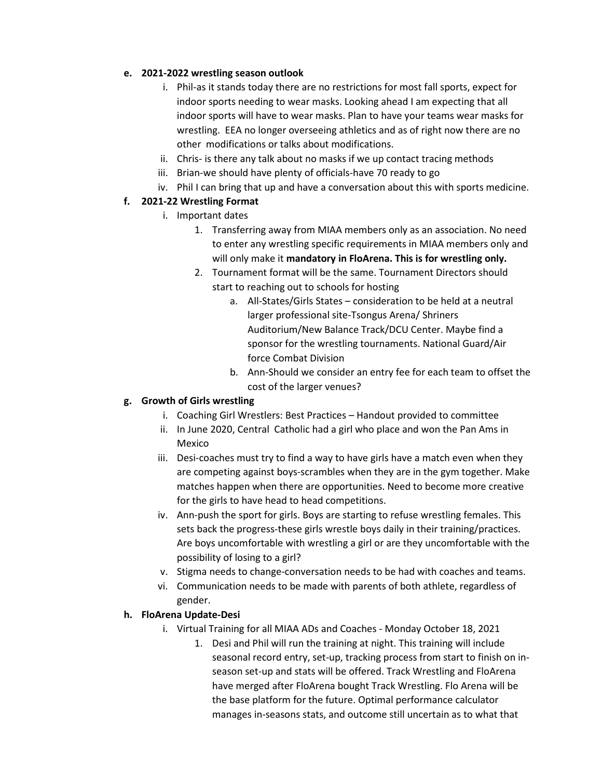### **e. 2021-2022 wrestling season outlook**

- i. Phil-as it stands today there are no restrictions for most fall sports, expect for indoor sports needing to wear masks. Looking ahead I am expecting that all indoor sports will have to wear masks. Plan to have your teams wear masks for wrestling. EEA no longer overseeing athletics and as of right now there are no other modifications or talks about modifications.
- ii. Chris- is there any talk about no masks if we up contact tracing methods
- iii. Brian-we should have plenty of officials-have 70 ready to go
- iv. Phil I can bring that up and have a conversation about this with sports medicine.

## **f. 2021-22 Wrestling Format**

- i. Important dates
	- 1. Transferring away from MIAA members only as an association. No need to enter any wrestling specific requirements in MIAA members only and will only make it **mandatory in FloArena. This is for wrestling only.**
	- 2. Tournament format will be the same. Tournament Directors should start to reaching out to schools for hosting
		- a. All-States/Girls States consideration to be held at a neutral larger professional site-Tsongus Arena/ Shriners Auditorium/New Balance Track/DCU Center. Maybe find a sponsor for the wrestling tournaments. National Guard/Air force Combat Division
		- b. Ann-Should we consider an entry fee for each team to offset the cost of the larger venues?

## **g. Growth of Girls wrestling**

- i. Coaching Girl Wrestlers: Best Practices Handout provided to committee
- ii. In June 2020, Central Catholic had a girl who place and won the Pan Ams in Mexico
- iii. Desi-coaches must try to find a way to have girls have a match even when they are competing against boys-scrambles when they are in the gym together. Make matches happen when there are opportunities. Need to become more creative for the girls to have head to head competitions.
- iv. Ann-push the sport for girls. Boys are starting to refuse wrestling females. This sets back the progress-these girls wrestle boys daily in their training/practices. Are boys uncomfortable with wrestling a girl or are they uncomfortable with the possibility of losing to a girl?
- v. Stigma needs to change-conversation needs to be had with coaches and teams.
- vi. Communication needs to be made with parents of both athlete, regardless of gender.

## **h. FloArena Update-Desi**

- i. Virtual Training for all MIAA ADs and Coaches Monday October 18, 2021
	- 1. Desi and Phil will run the training at night. This training will include seasonal record entry, set-up, tracking process from start to finish on inseason set-up and stats will be offered. Track Wrestling and FloArena have merged after FloArena bought Track Wrestling. Flo Arena will be the base platform for the future. Optimal performance calculator manages in-seasons stats, and outcome still uncertain as to what that